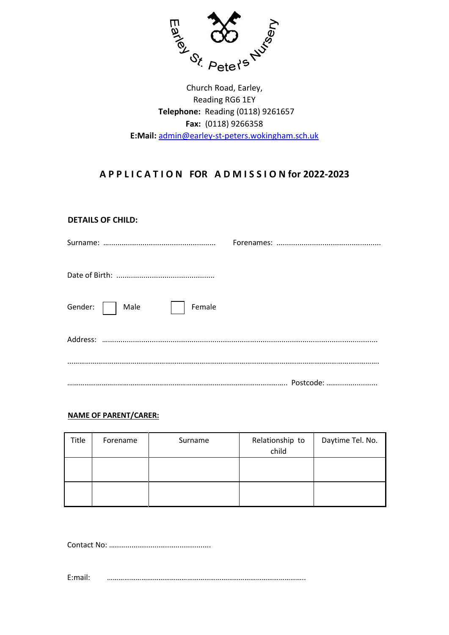

Reading RG6 1EY  **Telephone:** Reading (0118) 9261657 **Fax:** (0118) 9266358 **E:Mail:** admin@earley-st-peters.wokingham.sch.uk Church Road, Earley,

# **A P P L I C A T I O N FOR A D M I S S I O N for 2022-2023**

## **DETAILS OF CHILD:**

| Gender:     Male  <br>Female |  |
|------------------------------|--|
|                              |  |
|                              |  |

### **NAME OF PARENT/CARER:**

| Title | Forename | Surname | Relationship to<br>child | Daytime Tel. No. |
|-------|----------|---------|--------------------------|------------------|
|       |          |         |                          |                  |
|       |          |         |                          |                  |

Contact No: …..............................................

E:mail: …………………………………………………………………………………………..